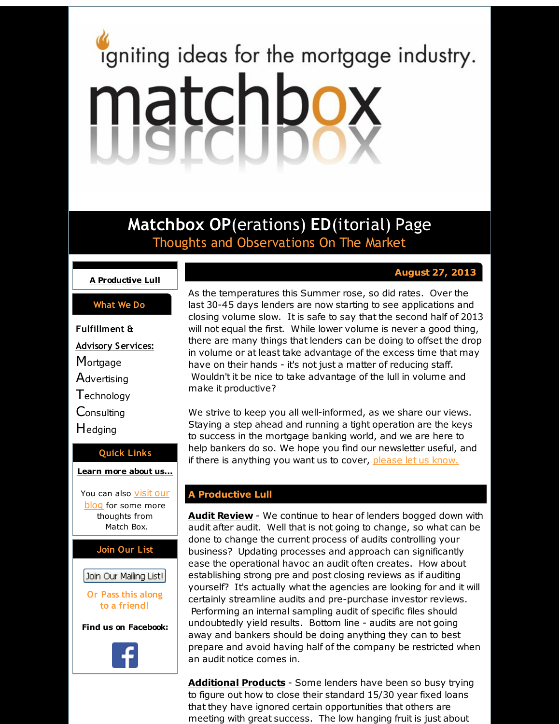# <span id="page-0-0"></span>igniting ideas for the mortgage industry. matchbox

**Matchbox OP**(erations) **ED**(itorial) Page Thoughts and Observations On The Market

# **A [Productive](#page-0-0) Lull**

### **What We Do**

**Fulfillment & Advisory Services: Mortgage Advertising Technology Consulting H**edging

# **Quick Links**

#### **[Learn](http://r20.rs6.net/tn.jsp?f=001duXvTtFoRxfqKlPR2eITnWRVe3wsPXNWobdpEBclHov-JGnOz1Nq0aFWcbePNwy1PO26u4FqQoJHD61nYCtxn9jevMpa84VirwpYTx7CkXbJljDz1c4fMXqeDMMnlXQBazsmCrgaVDqCB7_q4OQjL-JXMdFE6du9QzKfs72HSKd7NWE5C8GipQ==&c=&ch=) more about u[s...](http://r20.rs6.net/tn.jsp?f=001duXvTtFoRxfqKlPR2eITnWRVe3wsPXNWobdpEBclHov-JGnOz1Nq0aFWcbePNwy1PO26u4FqQoJHD61nYCtxn9jevMpa84VirwpYTx7CkXbJljDz1c4fMXqeDMMnlXQBazsmCrgaVDqCB7_q4OQjL-JXMdFE6du9QzKfs72HSKd7NWE5C8GipQ==&c=&ch=)**

You can also **visit our [blog](http://r20.rs6.net/tn.jsp?f=001duXvTtFoRxfqKlPR2eITnWRVe3wsPXNWobdpEBclHov-JGnOz1Nq0d5KgfskP-fv9CJ5uoEbo2u8eVkjCFVBe-SUiyNE4u679C94yqtlRZKUI-VQms40AWJ3wU97c0GkPAGlzM2RLkNX9NAmaCGW0vG3aCzpNvrVMyLixuf4B3uRIEVJlauFciZZ6zlgPf7T&c=&ch=)** for some more thoughts from Match Box.



# Join Our Mailing List!

**Or Pass this along to a friend!**

**Find us on Facebook:**



As the temperatures this Summer rose, so did rates. Over the last 30-45 days lenders are now starting to see applications and closing volume slow. It is safe to say that the second half of 2013 will not equal the first. While lower volume is never a good thing, there are many things that lenders can be doing to offset the drop in volume or at least take advantage of the excess time that may have on their hands - it's not just a matter of reducing staff. Wouldn't it be nice to take advantage of the lull in volume and make it productive?

**August 27, 2013**

We strive to keep you all well-informed, as we share our views. Staying a step ahead and running a tight operation are the keys to success in the mortgage banking world, and we are here to help bankers do so. We hope you find our newsletter useful, and if there is anything you want us to cover, [please](http://r20.rs6.net/tn.jsp?f=001duXvTtFoRxfqKlPR2eITnWRVe3wsPXNWobdpEBclHov-JGnOz1Nq0d5KgfskP-fvPPWaI02QJZAWSfNFgZmD5NAiCZryNRAI2Tl9XaB064iJnA5n9UFNF9Lzaor2KD7elAFVhks4M4TCuXY4J3HFSYX_NYEfvdfpCCj7LcsgD4EWaVhp5qAEa2lHAXjwOF6h&c=&ch=) let us know.

# **A Productive Lull**

**Audit Review** - We continue to hear of lenders bogged down with audit after audit. Well that is not going to change, so what can be done to change the current process of audits controlling your business? Updating processes and approach can significantly ease the operational havoc an audit often creates. How about establishing strong pre and post closing reviews as if auditing yourself? It's actually what the agencies are looking for and it will certainly streamline audits and pre-purchase investor reviews. Performing an internal sampling audit of specific files should undoubtedly yield results. Bottom line - audits are not going away and bankers should be doing anything they can to best prepare and avoid having half of the company be restricted when an audit notice comes in.

**Additional Products** - Some lenders have been so busy trying to figure out how to close their standard 15/30 year fixed loans that they have ignored certain opportunities that others are meeting with great success. The low hanging fruit is just about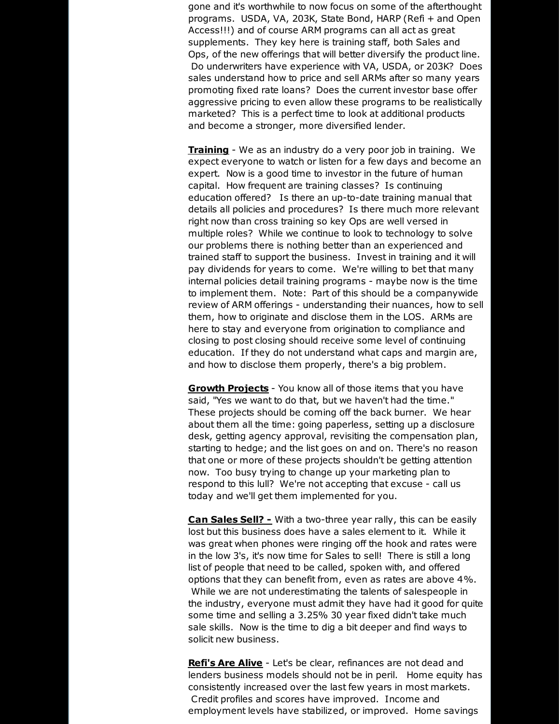gone and it's worthwhile to now focus on some of the afterthought programs. USDA, VA, 203K, State Bond, HARP (Refi + and Open Access!!!) and of course ARM programs can all act as great supplements. They key here is training staff, both Sales and Ops, of the new offerings that will better diversify the product line. Do underwriters have experience with VA, USDA, or 203K? Does sales understand how to price and sell ARMs after so many years promoting fixed rate loans? Does the current investor base offer aggressive pricing to even allow these programs to be realistically marketed? This is a perfect time to look at additional products and become a stronger, more diversified lender.

**Training** - We as an industry do a very poor job in training. We expect everyone to watch or listen for a few days and become an expert. Now is a good time to investor in the future of human capital. How frequent are training classes? Is continuing education offered? Is there an up-to-date training manual that details all policies and procedures? Is there much more relevant right now than cross training so key Ops are well versed in multiple roles? While we continue to look to technology to solve our problems there is nothing better than an experienced and trained staff to support the business. Invest in training and it will pay dividends for years to come. We're willing to bet that many internal policies detail training programs - maybe now is the time to implement them. Note: Part of this should be a companywide review of ARM offerings - understanding their nuances, how to sell them, how to originate and disclose them in the LOS. ARMs are here to stay and everyone from origination to compliance and closing to post closing should receive some level of continuing education. If they do not understand what caps and margin are, and how to disclose them properly, there's a big problem.

**Growth Projects** - You know all of those items that you have said, "Yes we want to do that, but we haven't had the time." These projects should be coming off the back burner. We hear about them all the time: going paperless, setting up a disclosure desk, getting agency approval, revisiting the compensation plan, starting to hedge; and the list goes on and on. There's no reason that one or more of these projects shouldn't be getting attention now. Too busy trying to change up your marketing plan to respond to this lull? We're not accepting that excuse - call us today and we'll get them implemented for you.

**Can Sales Sell? -** With a two-three year rally, this can be easily lost but this business does have a sales element to it. While it was great when phones were ringing off the hook and rates were in the low 3's, it's now time for Sales to sell! There is still a long list of people that need to be called, spoken with, and offered options that they can benefit from, even as rates are above 4%. While we are not underestimating the talents of salespeople in the industry, everyone must admit they have had it good for quite some time and selling a 3.25% 30 year fixed didn't take much sale skills. Now is the time to dig a bit deeper and find ways to solicit new business.

**Refi's Are Alive** - Let's be clear, refinances are not dead and lenders business models should not be in peril. Home equity has consistently increased over the last few years in most markets. Credit profiles and scores have improved. Income and employment levels have stabilized, or improved. Home savings